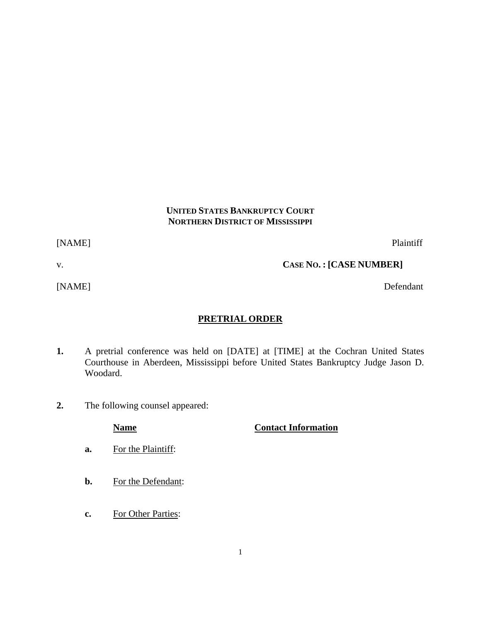## **UNITED STATES BANKRUPTCY COURT NORTHERN DISTRICT OF MISSISSIPPI**

[NAME] Plaintiff

v. **CASE NO. : [CASE NUMBER]**

[NAME] Defendant

# **PRETRIAL ORDER**

- **1.** A pretrial conference was held on [DATE] at [TIME] at the Cochran United States Courthouse in Aberdeen, Mississippi before United States Bankruptcy Judge Jason D. Woodard.
- **2.** The following counsel appeared:

## **Name Contact Information**

- **a.** For the Plaintiff:
- **b.** For the Defendant:
- **c.** For Other Parties: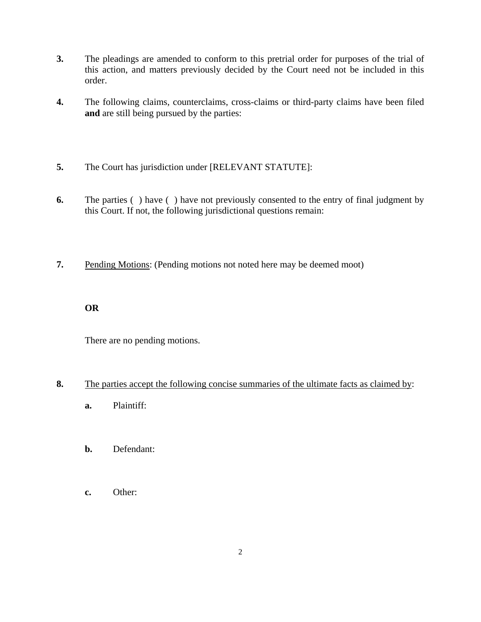- **3.** The pleadings are amended to conform to this pretrial order for purposes of the trial of this action, and matters previously decided by the Court need not be included in this order.
- **4.** The following claims, counterclaims, cross-claims or third-party claims have been filed **and** are still being pursued by the parties:
- **5.** The Court has jurisdiction under [RELEVANT STATUTE]:
- **6.** The parties ( ) have ( ) have not previously consented to the entry of final judgment by this Court. If not, the following jurisdictional questions remain:
- **7.** Pending Motions: (Pending motions not noted here may be deemed moot)

## **OR**

There are no pending motions.

## **8.** The parties accept the following concise summaries of the ultimate facts as claimed by:

- **a.** Plaintiff:
- **b.** Defendant:
- **c.** Other: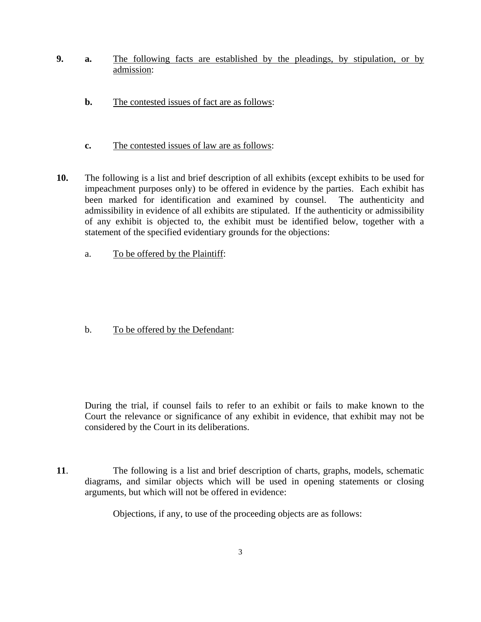- **9. a.** The following facts are established by the pleadings, by stipulation, or by admission:
	- **b.** The contested issues of fact are as follows:
	- **c.** The contested issues of law are as follows:
- **10.** The following is a list and brief description of all exhibits (except exhibits to be used for impeachment purposes only) to be offered in evidence by the parties. Each exhibit has been marked for identification and examined by counsel.The authenticity and admissibility in evidence of all exhibits are stipulated. If the authenticity or admissibility of any exhibit is objected to, the exhibit must be identified below, together with a statement of the specified evidentiary grounds for the objections:
	- a. To be offered by the Plaintiff:

b. To be offered by the Defendant:

 During the trial, if counsel fails to refer to an exhibit or fails to make known to the Court the relevance or significance of any exhibit in evidence, that exhibit may not be considered by the Court in its deliberations.

**11**. The following is a list and brief description of charts, graphs, models, schematic diagrams, and similar objects which will be used in opening statements or closing arguments, but which will not be offered in evidence:

Objections, if any, to use of the proceeding objects are as follows: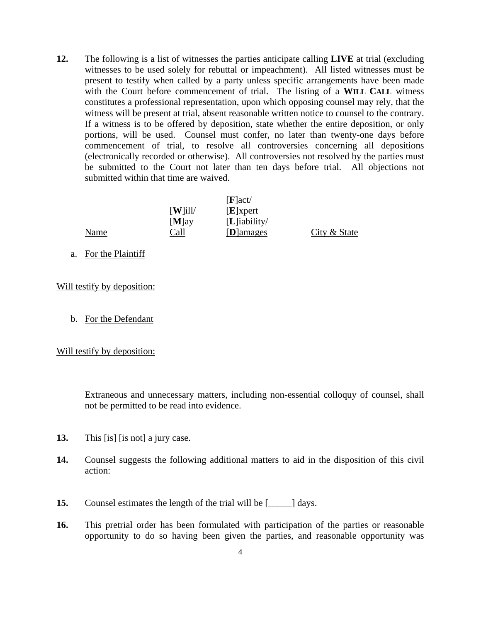**12.** The following is a list of witnesses the parties anticipate calling **LIVE** at trial (excluding witnesses to be used solely for rebuttal or impeachment). All listed witnesses must be present to testify when called by a party unless specific arrangements have been made with the Court before commencement of trial. The listing of a **WILL CALL** witness constitutes a professional representation, upon which opposing counsel may rely, that the witness will be present at trial, absent reasonable written notice to counsel to the contrary. If a witness is to be offered by deposition, state whether the entire deposition, or only portions, will be used. Counsel must confer, no later than twenty-one days before commencement of trial, to resolve all controversies concerning all depositions (electronically recorded or otherwise). All controversies not resolved by the parties must be submitted to the Court not later than ten days before trial. All objections not submitted within that time are waived.

|      |                                | [F act          |              |
|------|--------------------------------|-----------------|--------------|
|      | $\left[\mathbf{W}\right]$ ill/ | $[E]$ xpert     |              |
|      | $[M]$ ay                       | $[L]$ iability/ |              |
| Name | Call                           | [D]amages       | City & State |

a. For the Plaintiff

Will testify by deposition:

b. For the Defendant

Will testify by deposition:

 Extraneous and unnecessary matters, including non-essential colloquy of counsel, shall not be permitted to be read into evidence.

- **13.** This [is] [is not] a jury case.
- **14.** Counsel suggests the following additional matters to aid in the disposition of this civil action:
- **15.** Counsel estimates the length of the trial will be  $\lceil \cdot \cdot \cdot \rceil$  days.
- **16.** This pretrial order has been formulated with participation of the parties or reasonable opportunity to do so having been given the parties, and reasonable opportunity was